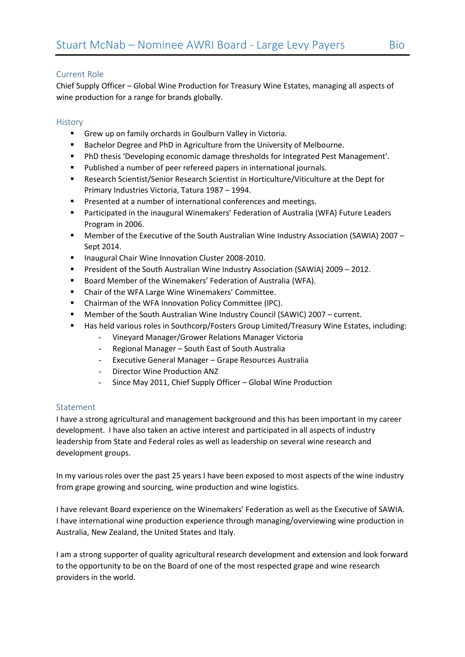## Current Role

Chief Supply Officer – Global Wine Production for Treasury Wine Estates, managing all aspects of wine production for a range for brands globally.

## **History**

- Grew up on family orchards in Goulburn Valley in Victoria.
- **Bachelor Degree and PhD in Agriculture from the University of Melbourne.**
- PhD thesis 'Developing economic damage thresholds for Integrated Pest Management'.
- **Published a number of peer refereed papers in international journals.**
- Research Scientist/Senior Research Scientist in Horticulture/Viticulture at the Dept for Primary Industries Victoria, Tatura 1987 – 1994.
- **Presented at a number of international conferences and meetings.**
- Participated in the inaugural Winemakers' Federation of Australia (WFA) Future Leaders Program in 2006.
- Member of the Executive of the South Australian Wine Industry Association (SAWIA) 2007 Sept 2014.
- **Inaugural Chair Wine Innovation Cluster 2008-2010.**
- President of the South Australian Wine Industry Association (SAWIA) 2009 2012.
- Board Member of the Winemakers' Federation of Australia (WFA).
- Chair of the WFA Large Wine Winemakers' Committee.
- Chairman of the WFA Innovation Policy Committee (IPC).
- Member of the South Australian Wine Industry Council (SAWIC) 2007 current.
- Has held various roles in Southcorp/Fosters Group Limited/Treasury Wine Estates, including:
	- Vineyard Manager/Grower Relations Manager Victoria
	- Regional Manager South East of South Australia
	- Executive General Manager Grape Resources Australia
	- Director Wine Production ANZ
	- Since May 2011, Chief Supply Officer Global Wine Production

## Statement

I have a strong agricultural and management background and this has been important in my career development. I have also taken an active interest and participated in all aspects of industry leadership from State and Federal roles as well as leadership on several wine research and development groups.

In my various roles over the past 25 years I have been exposed to most aspects of the wine industry from grape growing and sourcing, wine production and wine logistics.

I have relevant Board experience on the Winemakers' Federation as well as the Executive of SAWIA. I have international wine production experience through managing/overviewing wine production in Australia, New Zealand, the United States and Italy.

I am a strong supporter of quality agricultural research development and extension and look forward to the opportunity to be on the Board of one of the most respected grape and wine research providers in the world.